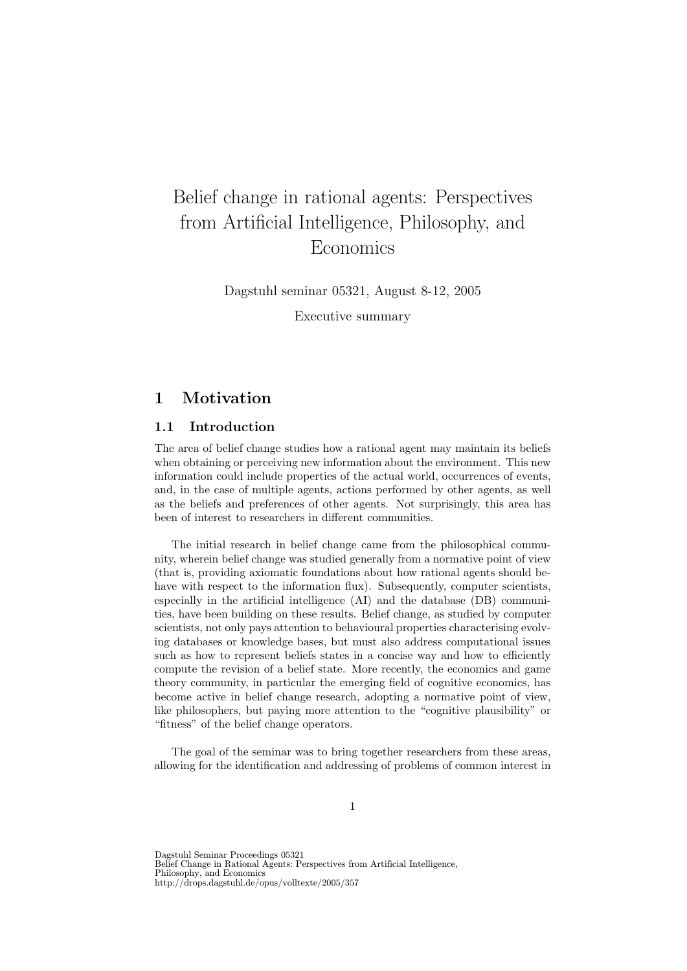# Belief change in rational agents: Perspectives from Artificial Intelligence, Philosophy, and Economics

Dagstuhl seminar 05321, August 8-12, 2005

Executive summary

## 1 Motivation

### 1.1 Introduction

The area of belief change studies how a rational agent may maintain its beliefs when obtaining or perceiving new information about the environment. This new information could include properties of the actual world, occurrences of events, and, in the case of multiple agents, actions performed by other agents, as well as the beliefs and preferences of other agents. Not surprisingly, this area has been of interest to researchers in different communities.

The initial research in belief change came from the philosophical community, wherein belief change was studied generally from a normative point of view (that is, providing axiomatic foundations about how rational agents should behave with respect to the information flux). Subsequently, computer scientists, especially in the artificial intelligence (AI) and the database (DB) communities, have been building on these results. Belief change, as studied by computer scientists, not only pays attention to behavioural properties characterising evolving databases or knowledge bases, but must also address computational issues such as how to represent beliefs states in a concise way and how to efficiently compute the revision of a belief state. More recently, the economics and game theory community, in particular the emerging field of cognitive economics, has become active in belief change research, adopting a normative point of view, like philosophers, but paying more attention to the "cognitive plausibility" or "fitness" of the belief change operators.

The goal of the seminar was to bring together researchers from these areas, allowing for the identification and addressing of problems of common interest in

Dagstuhl Seminar Proceedings 05321 Belief Change in Rational Agents: Perspectives from Artificial Intelligence, Philosophy, and Economics http://drops.dagstuhl.de/opus/volltexte/2005/357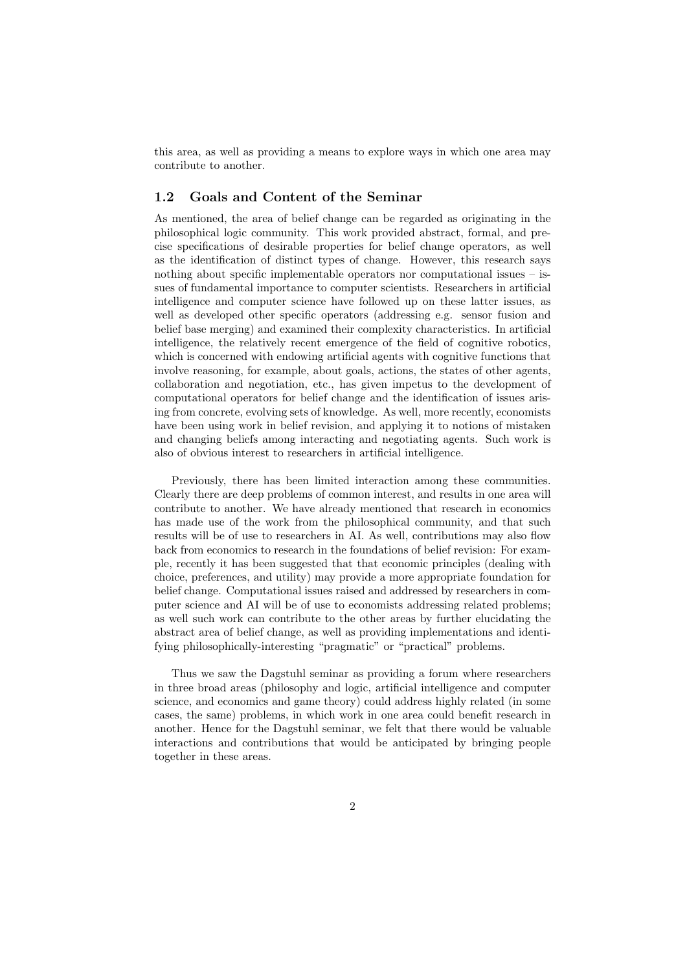this area, as well as providing a means to explore ways in which one area may contribute to another.

#### 1.2 Goals and Content of the Seminar

As mentioned, the area of belief change can be regarded as originating in the philosophical logic community. This work provided abstract, formal, and precise specifications of desirable properties for belief change operators, as well as the identification of distinct types of change. However, this research says nothing about specific implementable operators nor computational issues – issues of fundamental importance to computer scientists. Researchers in artificial intelligence and computer science have followed up on these latter issues, as well as developed other specific operators (addressing e.g. sensor fusion and belief base merging) and examined their complexity characteristics. In artificial intelligence, the relatively recent emergence of the field of cognitive robotics, which is concerned with endowing artificial agents with cognitive functions that involve reasoning, for example, about goals, actions, the states of other agents, collaboration and negotiation, etc., has given impetus to the development of computational operators for belief change and the identification of issues arising from concrete, evolving sets of knowledge. As well, more recently, economists have been using work in belief revision, and applying it to notions of mistaken and changing beliefs among interacting and negotiating agents. Such work is also of obvious interest to researchers in artificial intelligence.

Previously, there has been limited interaction among these communities. Clearly there are deep problems of common interest, and results in one area will contribute to another. We have already mentioned that research in economics has made use of the work from the philosophical community, and that such results will be of use to researchers in AI. As well, contributions may also flow back from economics to research in the foundations of belief revision: For example, recently it has been suggested that that economic principles (dealing with choice, preferences, and utility) may provide a more appropriate foundation for belief change. Computational issues raised and addressed by researchers in computer science and AI will be of use to economists addressing related problems; as well such work can contribute to the other areas by further elucidating the abstract area of belief change, as well as providing implementations and identifying philosophically-interesting "pragmatic" or "practical" problems.

Thus we saw the Dagstuhl seminar as providing a forum where researchers in three broad areas (philosophy and logic, artificial intelligence and computer science, and economics and game theory) could address highly related (in some cases, the same) problems, in which work in one area could benefit research in another. Hence for the Dagstuhl seminar, we felt that there would be valuable interactions and contributions that would be anticipated by bringing people together in these areas.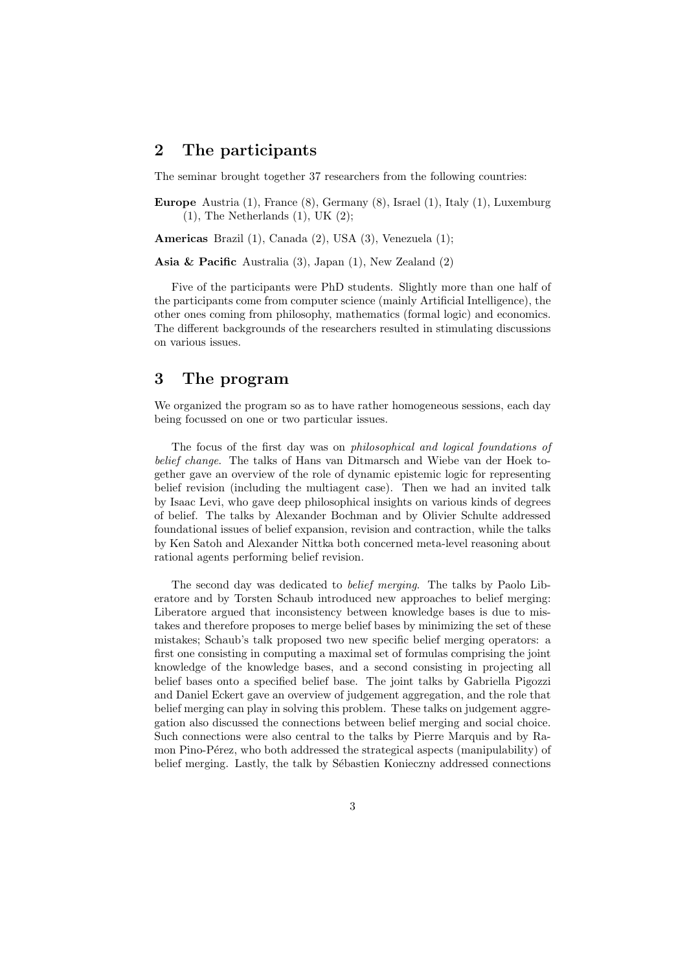## 2 The participants

The seminar brought together 37 researchers from the following countries:

Europe Austria (1), France (8), Germany (8), Israel (1), Italy (1), Luxemburg  $(1)$ , The Netherlands  $(1)$ , UK  $(2)$ ;

Americas Brazil (1), Canada (2), USA (3), Venezuela (1);

Asia & Pacific Australia (3), Japan (1), New Zealand (2)

Five of the participants were PhD students. Slightly more than one half of the participants come from computer science (mainly Artificial Intelligence), the other ones coming from philosophy, mathematics (formal logic) and economics. The different backgrounds of the researchers resulted in stimulating discussions on various issues.

## 3 The program

We organized the program so as to have rather homogeneous sessions, each day being focussed on one or two particular issues.

The focus of the first day was on philosophical and logical foundations of belief change. The talks of Hans van Ditmarsch and Wiebe van der Hoek together gave an overview of the role of dynamic epistemic logic for representing belief revision (including the multiagent case). Then we had an invited talk by Isaac Levi, who gave deep philosophical insights on various kinds of degrees of belief. The talks by Alexander Bochman and by Olivier Schulte addressed foundational issues of belief expansion, revision and contraction, while the talks by Ken Satoh and Alexander Nittka both concerned meta-level reasoning about rational agents performing belief revision.

The second day was dedicated to belief merging. The talks by Paolo Liberatore and by Torsten Schaub introduced new approaches to belief merging: Liberatore argued that inconsistency between knowledge bases is due to mistakes and therefore proposes to merge belief bases by minimizing the set of these mistakes; Schaub's talk proposed two new specific belief merging operators: a first one consisting in computing a maximal set of formulas comprising the joint knowledge of the knowledge bases, and a second consisting in projecting all belief bases onto a specified belief base. The joint talks by Gabriella Pigozzi and Daniel Eckert gave an overview of judgement aggregation, and the role that belief merging can play in solving this problem. These talks on judgement aggregation also discussed the connections between belief merging and social choice. Such connections were also central to the talks by Pierre Marquis and by Ramon Pino-Pérez, who both addressed the strategical aspects (manipulability) of belief merging. Lastly, the talk by Sébastien Konieczny addressed connections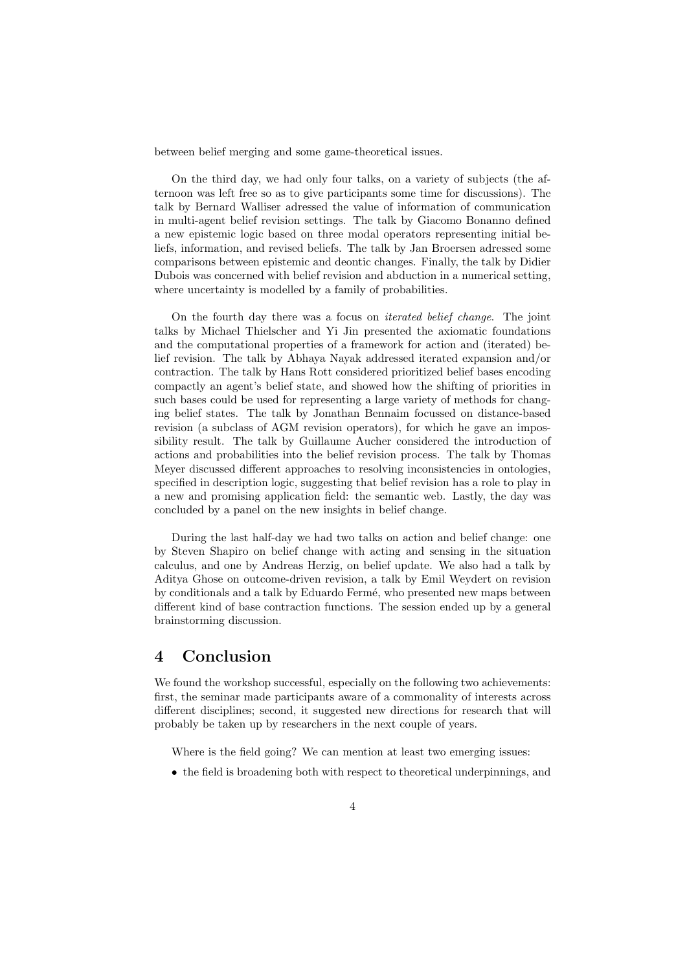between belief merging and some game-theoretical issues.

On the third day, we had only four talks, on a variety of subjects (the afternoon was left free so as to give participants some time for discussions). The talk by Bernard Walliser adressed the value of information of communication in multi-agent belief revision settings. The talk by Giacomo Bonanno defined a new epistemic logic based on three modal operators representing initial beliefs, information, and revised beliefs. The talk by Jan Broersen adressed some comparisons between epistemic and deontic changes. Finally, the talk by Didier Dubois was concerned with belief revision and abduction in a numerical setting, where uncertainty is modelled by a family of probabilities.

On the fourth day there was a focus on iterated belief change. The joint talks by Michael Thielscher and Yi Jin presented the axiomatic foundations and the computational properties of a framework for action and (iterated) belief revision. The talk by Abhaya Nayak addressed iterated expansion and/or contraction. The talk by Hans Rott considered prioritized belief bases encoding compactly an agent's belief state, and showed how the shifting of priorities in such bases could be used for representing a large variety of methods for changing belief states. The talk by Jonathan Bennaim focussed on distance-based revision (a subclass of AGM revision operators), for which he gave an impossibility result. The talk by Guillaume Aucher considered the introduction of actions and probabilities into the belief revision process. The talk by Thomas Meyer discussed different approaches to resolving inconsistencies in ontologies, specified in description logic, suggesting that belief revision has a role to play in a new and promising application field: the semantic web. Lastly, the day was concluded by a panel on the new insights in belief change.

During the last half-day we had two talks on action and belief change: one by Steven Shapiro on belief change with acting and sensing in the situation calculus, and one by Andreas Herzig, on belief update. We also had a talk by Aditya Ghose on outcome-driven revision, a talk by Emil Weydert on revision by conditionals and a talk by Eduardo Ferm´e, who presented new maps between different kind of base contraction functions. The session ended up by a general brainstorming discussion.

## 4 Conclusion

We found the workshop successful, especially on the following two achievements: first, the seminar made participants aware of a commonality of interests across different disciplines; second, it suggested new directions for research that will probably be taken up by researchers in the next couple of years.

Where is the field going? We can mention at least two emerging issues:

• the field is broadening both with respect to theoretical underpinnings, and